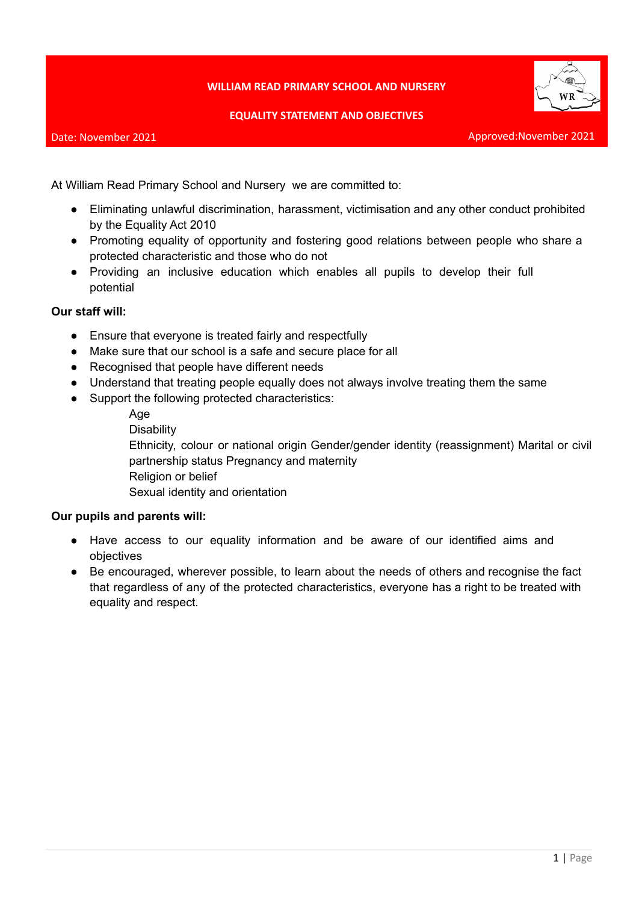## **WILLIAM READ PRIMARY SCHOOL AND NURSERY**

#### **EQUALITY STATEMENT AND OBJECTIVES**

#### Date: November 2021



Approved:November 2021

At William Read Primary School and Nursery we are committed to:

- Eliminating unlawful discrimination, harassment, victimisation and any other conduct prohibited by the Equality Act 2010
- Promoting equality of opportunity and fostering good relations between people who share a protected characteristic and those who do not
- Providing an inclusive education which enables all pupils to develop their full potential

# **Our staff will:**

- Ensure that everyone is treated fairly and respectfully
- Make sure that our school is a safe and secure place for all
- Recognised that people have different needs
- Understand that treating people equally does not always involve treating them the same
- Support the following protected characteristics:

Age

**Disability** 

Ethnicity, colour or national origin Gender/gender identity (reassignment) Marital or civil partnership status Pregnancy and maternity Religion or belief

Sexual identity and orientation

## **Our pupils and parents will:**

- Have access to our equality information and be aware of our identified aims and objectives
- Be encouraged, wherever possible, to learn about the needs of others and recognise the fact that regardless of any of the protected characteristics, everyone has a right to be treated with equality and respect.